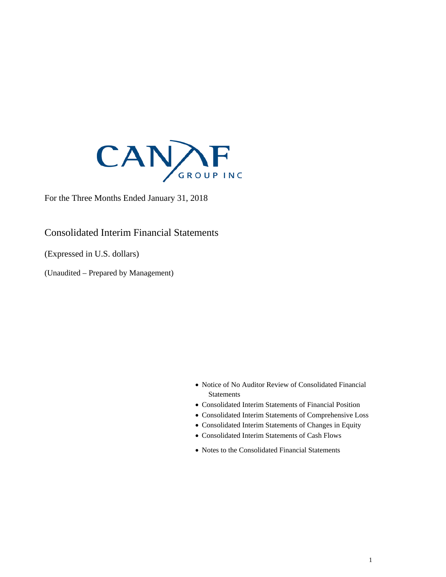

For the Three Months Ended January 31, 2018

### Consolidated Interim Financial Statements

(Expressed in U.S. dollars)

(Unaudited – Prepared by Management)

- Notice of No Auditor Review of Consolidated Financial **Statements**
- Consolidated Interim Statements of Financial Position
- Consolidated Interim Statements of Comprehensive Loss
- Consolidated Interim Statements of Changes in Equity
- Consolidated Interim Statements of Cash Flows
- Notes to the Consolidated Financial Statements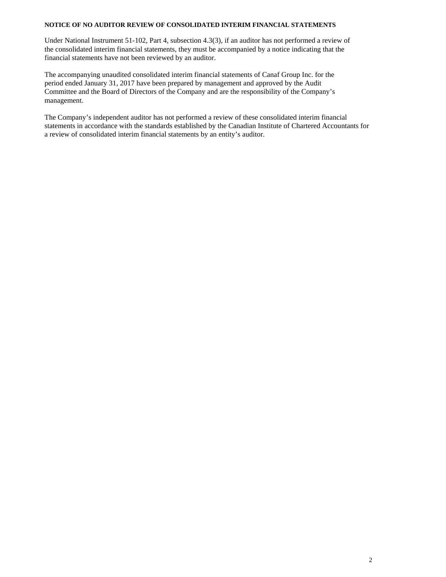#### **NOTICE OF NO AUDITOR REVIEW OF CONSOLIDATED INTERIM FINANCIAL STATEMENTS**

Under National Instrument 51-102, Part 4, subsection 4.3(3), if an auditor has not performed a review of the consolidated interim financial statements, they must be accompanied by a notice indicating that the financial statements have not been reviewed by an auditor.

The accompanying unaudited consolidated interim financial statements of Canaf Group Inc. for the period ended January 31, 2017 have been prepared by management and approved by the Audit Committee and the Board of Directors of the Company and are the responsibility of the Company's management.

The Company's independent auditor has not performed a review of these consolidated interim financial statements in accordance with the standards established by the Canadian Institute of Chartered Accountants for a review of consolidated interim financial statements by an entity's auditor.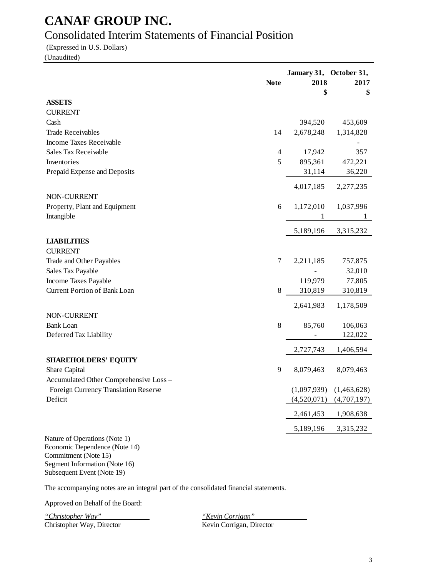### Consolidated Interim Statements of Financial Position

(Expressed in U.S. Dollars)

(Unaudited)

|                                                                | <b>Note</b> | January 31, October 31,<br>2018<br>\$ | 2017<br>\$  |
|----------------------------------------------------------------|-------------|---------------------------------------|-------------|
| <b>ASSETS</b>                                                  |             |                                       |             |
| <b>CURRENT</b>                                                 |             |                                       |             |
| Cash                                                           |             | 394,520                               | 453,609     |
| <b>Trade Receivables</b>                                       | 14          | 2,678,248                             | 1,314,828   |
| Income Taxes Receivable                                        |             |                                       |             |
| Sales Tax Receivable                                           | 4           | 17,942                                | 357         |
| Inventories                                                    | 5           | 895,361                               | 472,221     |
| Prepaid Expense and Deposits                                   |             | 31,114                                | 36,220      |
|                                                                |             | 4,017,185                             | 2,277,235   |
| NON-CURRENT                                                    |             |                                       |             |
| Property, Plant and Equipment                                  | 6           | 1,172,010                             | 1,037,996   |
| Intangible                                                     |             | 1                                     | 1           |
|                                                                |             | 5,189,196                             | 3,315,232   |
| <b>LIABILITIES</b>                                             |             |                                       |             |
| <b>CURRENT</b>                                                 |             |                                       |             |
| Trade and Other Payables                                       | 7           | 2,211,185                             | 757,875     |
| Sales Tax Payable                                              |             |                                       | 32,010      |
| Income Taxes Payable                                           |             | 119,979                               | 77,805      |
| <b>Current Portion of Bank Loan</b>                            | 8           | 310,819                               | 310,819     |
|                                                                |             | 2,641,983                             | 1,178,509   |
| NON-CURRENT                                                    |             |                                       |             |
| <b>Bank Loan</b>                                               | $\,8\,$     | 85,760                                | 106,063     |
| Deferred Tax Liability                                         |             |                                       | 122,022     |
|                                                                |             | 2,727,743                             | 1,406,594   |
| <b>SHAREHOLDERS' EQUITY</b>                                    |             |                                       |             |
| Share Capital                                                  | 9           | 8,079,463                             | 8,079,463   |
| Accumulated Other Comprehensive Loss -                         |             |                                       |             |
| Foreign Currency Translation Reserve                           |             | (1,097,939)                           | (1,463,628) |
| Deficit                                                        |             | (4,520,071)                           | (4,707,197) |
|                                                                |             | 2,461,453                             | 1,908,638   |
|                                                                |             | 5,189,196                             | 3,315,232   |
| Nature of Operations (Note 1)<br>Economic Dependence (Note 14) |             |                                       |             |

Commitment (Note 15) Segment Information (Note 16) Subsequent Event (Note 19)

The accompanying notes are an integral part of the consolidated financial statements.

Approved on Behalf of the Board:

*"Christopher Way" "Kevin Corrigan"* Christopher Way, Director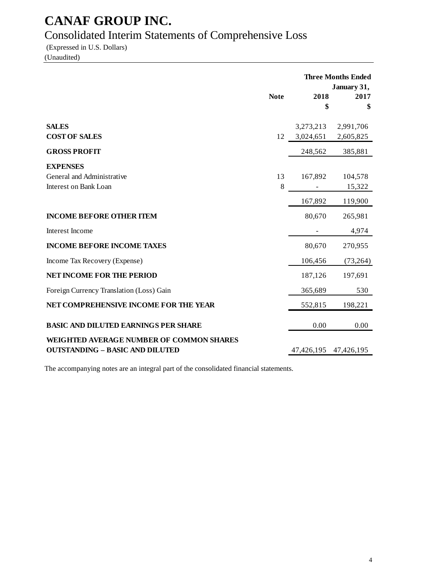# Consolidated Interim Statements of Comprehensive Loss

(Expressed in U.S. Dollars)

(Unaudited)

|                                                                                           |             |                        | <b>Three Months Ended</b><br>January 31, |
|-------------------------------------------------------------------------------------------|-------------|------------------------|------------------------------------------|
|                                                                                           | <b>Note</b> | 2018<br>\$             | 2017<br>\$                               |
| <b>SALES</b><br><b>COST OF SALES</b>                                                      | 12          | 3,273,213<br>3,024,651 | 2,991,706<br>2,605,825                   |
| <b>GROSS PROFIT</b>                                                                       |             | 248,562                | 385,881                                  |
| <b>EXPENSES</b>                                                                           |             |                        |                                          |
| General and Administrative                                                                | 13          | 167,892                | 104,578                                  |
| <b>Interest on Bank Loan</b>                                                              | 8           |                        | 15,322                                   |
|                                                                                           |             | 167,892                | 119,900                                  |
| <b>INCOME BEFORE OTHER ITEM</b>                                                           |             | 80,670                 | 265,981                                  |
| Interest Income                                                                           |             |                        | 4,974                                    |
| <b>INCOME BEFORE INCOME TAXES</b>                                                         |             | 80,670                 | 270,955                                  |
| Income Tax Recovery (Expense)                                                             |             | 106,456                | (73, 264)                                |
| NET INCOME FOR THE PERIOD                                                                 |             | 187,126                | 197,691                                  |
| Foreign Currency Translation (Loss) Gain                                                  |             | 365,689                | 530                                      |
| NET COMPREHENSIVE INCOME FOR THE YEAR                                                     |             | 552,815                | 198,221                                  |
| <b>BASIC AND DILUTED EARNINGS PER SHARE</b>                                               |             | 0.00                   | 0.00                                     |
| <b>WEIGHTED AVERAGE NUMBER OF COMMON SHARES</b><br><b>OUTSTANDING - BASIC AND DILUTED</b> |             | 47,426,195 47,426,195  |                                          |
|                                                                                           |             |                        |                                          |

The accompanying notes are an integral part of the consolidated financial statements.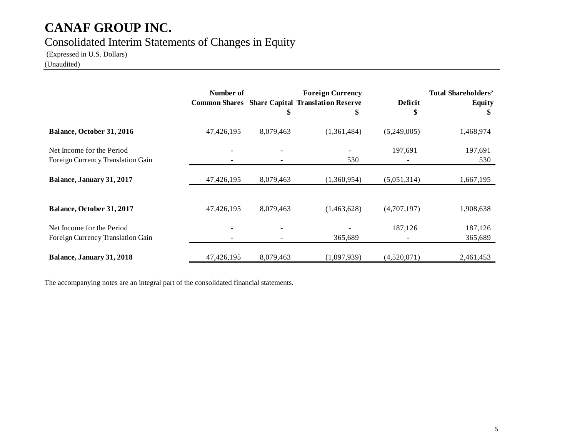### Consolidated Interim Statements of Changes in Equity

(Expressed in U.S. Dollars)

(Unaudited)

|                                                                | Number of  | \$        | <b>Foreign Currency</b><br><b>Common Shares</b> Share Capital Translation Reserve<br>\$ | Deficit<br>\$ | <b>Total Shareholders'</b><br>Equity<br>S |
|----------------------------------------------------------------|------------|-----------|-----------------------------------------------------------------------------------------|---------------|-------------------------------------------|
| Balance, October 31, 2016                                      | 47,426,195 | 8,079,463 | (1,361,484)                                                                             | (5,249,005)   | 1,468,974                                 |
| Net Income for the Period<br>Foreign Currency Translation Gain |            |           | 530                                                                                     | 197,691       | 197,691<br>530                            |
| Balance, January 31, 2017                                      | 47,426,195 | 8,079,463 | (1,360,954)                                                                             | (5,051,314)   | 1,667,195                                 |
| Balance, October 31, 2017                                      | 47,426,195 | 8,079,463 | (1,463,628)                                                                             | (4,707,197)   | 1,908,638                                 |
| Net Income for the Period<br>Foreign Currency Translation Gain |            |           | 365,689                                                                                 | 187,126       | 187,126<br>365,689                        |
| Balance, January 31, 2018                                      | 47,426,195 | 8,079,463 | (1,097,939)                                                                             | (4,520,071)   | 2,461,453                                 |

The accompanying notes are an integral part of the consolidated financial statements.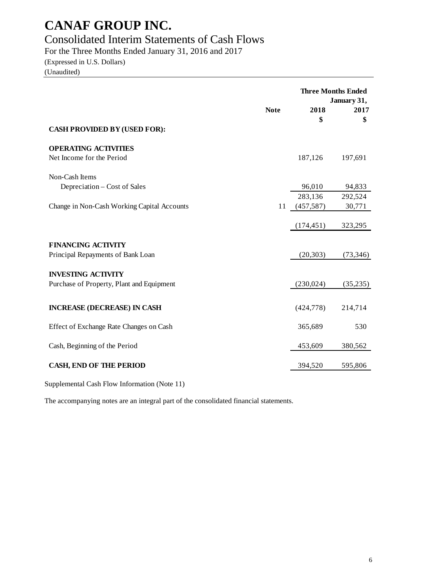### Consolidated Interim Statements of Cash Flows

For the Three Months Ended January 31, 2016 and 2017

(Expressed in U.S. Dollars) (Unaudited)

|                                                                        | <b>Note</b> | 2018<br>\$        | <b>Three Months Ended</b><br>January 31,<br>2017<br>\$ |
|------------------------------------------------------------------------|-------------|-------------------|--------------------------------------------------------|
| <b>CASH PROVIDED BY (USED FOR):</b>                                    |             |                   |                                                        |
| <b>OPERATING ACTIVITIES</b><br>Net Income for the Period               |             | 187,126           | 197,691                                                |
| Non-Cash Items<br>Depreciation – Cost of Sales                         |             | 96,010<br>283,136 | 94,833<br>292,524                                      |
| Change in Non-Cash Working Capital Accounts                            | 11          | (457,587)         | 30,771                                                 |
|                                                                        |             | (174, 451)        | 323,295                                                |
| <b>FINANCING ACTIVITY</b><br>Principal Repayments of Bank Loan         |             | (20, 303)         | (73,346)                                               |
| <b>INVESTING ACTIVITY</b><br>Purchase of Property, Plant and Equipment |             | (230,024)         | (35,235)                                               |
| <b>INCREASE (DECREASE) IN CASH</b>                                     |             | (424, 778)        | 214,714                                                |
| Effect of Exchange Rate Changes on Cash                                |             | 365,689           | 530                                                    |
| Cash, Beginning of the Period                                          |             | 453,609           | 380,562                                                |
| <b>CASH, END OF THE PERIOD</b>                                         |             | 394,520           | 595,806                                                |

Supplemental Cash Flow Information (Note 11)

The accompanying notes are an integral part of the consolidated financial statements.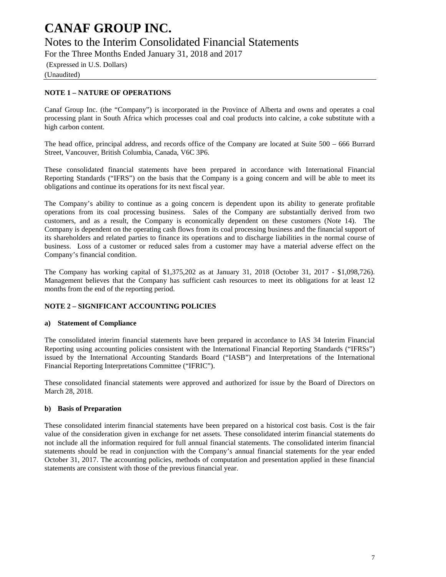### Notes to the Interim Consolidated Financial Statements

For the Three Months Ended January 31, 2018 and 2017

(Expressed in U.S. Dollars) (Unaudited)

#### **NOTE 1 – NATURE OF OPERATIONS**

Canaf Group Inc. (the "Company") is incorporated in the Province of Alberta and owns and operates a coal processing plant in South Africa which processes coal and coal products into calcine, a coke substitute with a high carbon content.

The head office, principal address, and records office of the Company are located at Suite 500 – 666 Burrard Street, Vancouver, British Columbia, Canada, V6C 3P6.

These consolidated financial statements have been prepared in accordance with International Financial Reporting Standards ("IFRS") on the basis that the Company is a going concern and will be able to meet its obligations and continue its operations for its next fiscal year.

The Company's ability to continue as a going concern is dependent upon its ability to generate profitable operations from its coal processing business. Sales of the Company are substantially derived from two customers, and as a result, the Company is economically dependent on these customers (Note 14). The Company is dependent on the operating cash flows from its coal processing business and the financial support of its shareholders and related parties to finance its operations and to discharge liabilities in the normal course of business. Loss of a customer or reduced sales from a customer may have a material adverse effect on the Company's financial condition.

The Company has working capital of \$1,375,202 as at January 31, 2018 (October 31, 2017 - \$1,098,726). Management believes that the Company has sufficient cash resources to meet its obligations for at least 12 months from the end of the reporting period.

#### **NOTE 2 – SIGNIFICANT ACCOUNTING POLICIES**

#### **a) Statement of Compliance**

The consolidated interim financial statements have been prepared in accordance to IAS 34 Interim Financial Reporting using accounting policies consistent with the International Financial Reporting Standards ("IFRSs") issued by the International Accounting Standards Board ("IASB") and Interpretations of the International Financial Reporting Interpretations Committee ("IFRIC").

These consolidated financial statements were approved and authorized for issue by the Board of Directors on March 28, 2018.

#### **b) Basis of Preparation**

These consolidated interim financial statements have been prepared on a historical cost basis. Cost is the fair value of the consideration given in exchange for net assets. These consolidated interim financial statements do not include all the information required for full annual financial statements. The consolidated interim financial statements should be read in conjunction with the Company's annual financial statements for the year ended October 31, 2017. The accounting policies, methods of computation and presentation applied in these financial statements are consistent with those of the previous financial year.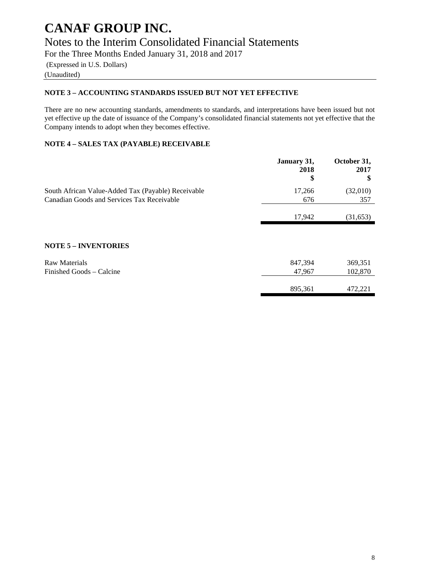### Notes to the Interim Consolidated Financial Statements

For the Three Months Ended January 31, 2018 and 2017

(Expressed in U.S. Dollars)

### (Unaudited)

#### **NOTE 3 – ACCOUNTING STANDARDS ISSUED BUT NOT YET EFFECTIVE**

There are no new accounting standards, amendments to standards, and interpretations have been issued but not yet effective up the date of issuance of the Company's consolidated financial statements not yet effective that the Company intends to adopt when they becomes effective.

#### **NOTE 4 – SALES TAX (PAYABLE) RECEIVABLE**

|                                                    | January 31,<br>2018<br>\$ | October 31,<br>2017<br>S |
|----------------------------------------------------|---------------------------|--------------------------|
| South African Value-Added Tax (Payable) Receivable | 17,266                    | (32,010)                 |
| Canadian Goods and Services Tax Receivable         | 676                       | 357                      |
|                                                    | 17,942                    | (31,653)                 |
|                                                    |                           |                          |
| <b>NOTE 5 - INVENTORIES</b>                        |                           |                          |
| <b>Raw Materials</b>                               | 847,394                   | 369,351                  |
| Finished Goods – Calcine                           | 47,967                    | 102,870                  |
|                                                    | 895,361                   | 472,221                  |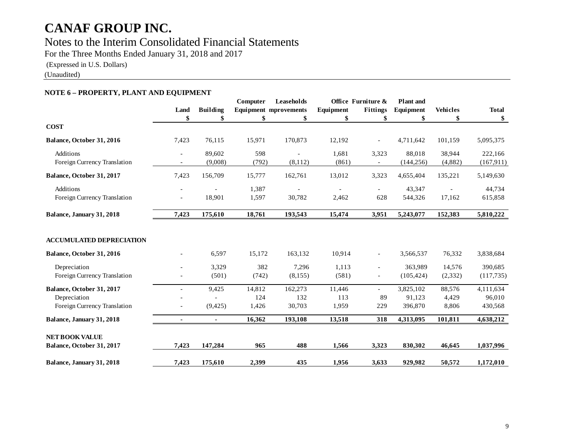### Notes to the Interim Consolidated Financial Statements

For the Three Months Ended January 31, 2018 and 2017

(Expressed in U.S. Dollars)

(Unaudited)

#### **NOTE 6 – PROPERTY, PLANT AND EQUIPMENT**

|                                                                           |       |                   | Computer               | Leaseholds                   |                        | Office Furniture &                    | <b>Plant</b> and               |                          |                                |
|---------------------------------------------------------------------------|-------|-------------------|------------------------|------------------------------|------------------------|---------------------------------------|--------------------------------|--------------------------|--------------------------------|
|                                                                           | Land  | <b>Building</b>   |                        | <b>Equipment mprovements</b> | Equipment              | <b>Fittings</b>                       | Equipment                      | <b>Vehicles</b>          | <b>Total</b>                   |
|                                                                           | \$    | \$                | \$                     | \$                           | \$                     | \$                                    | \$                             | \$                       | \$                             |
| <b>COST</b>                                                               |       |                   |                        |                              |                        |                                       |                                |                          |                                |
| Balance, October 31, 2016                                                 | 7,423 | 76,115            | 15,971                 | 170,873                      | 12,192                 | $\blacksquare$                        | 4,711,642                      | 101,159                  | 5,095,375                      |
| Additions<br>Foreign Currency Translation                                 |       | 89,602<br>(9,008) | 598<br>(792)           | (8, 112)                     | 1,681<br>(861)         | 3,323                                 | 88,018<br>(144, 256)           | 38,944<br>(4,882)        | 222,166<br>(167, 911)          |
| Balance, October 31, 2017                                                 | 7,423 | 156,709           | 15,777                 | 162,761                      | 13,012                 | 3,323                                 | 4,655,404                      | 135,221                  | 5,149,630                      |
| Additions<br>Foreign Currency Translation                                 |       | 18,901            | 1,387<br>1,597         | 30,782                       | 2,462                  | $\overline{\phantom{a}}$<br>628       | 43,347<br>544,326              | 17,162                   | 44,734<br>615,858              |
| Balance, January 31, 2018                                                 | 7,423 | 175,610           | 18,761                 | 193,543                      | 15,474                 | 3,951                                 | 5,243,077                      | 152,383                  | 5,810,222                      |
| <b>ACCUMULATED DEPRECIATION</b>                                           |       |                   |                        |                              |                        |                                       |                                |                          |                                |
| Balance, October 31, 2016                                                 |       | 6,597             | 15,172                 | 163,132                      | 10,914                 | $\overline{\phantom{a}}$              | 3,566,537                      | 76,332                   | 3,838,684                      |
| Depreciation<br>Foreign Currency Translation                              |       | 3,329<br>(501)    | 382<br>(742)           | 7,296<br>(8,155)             | 1,113<br>(581)         | $\blacksquare$<br>$\blacksquare$      | 363,989<br>(105, 424)          | 14,576<br>(2,332)        | 390,685<br>(117, 735)          |
| Balance, October 31, 2017<br>Depreciation<br>Foreign Currency Translation |       | 9,425<br>(9,425)  | 14,812<br>124<br>1,426 | 162,273<br>132<br>30,703     | 11,446<br>113<br>1,959 | $\overline{\phantom{a}}$<br>89<br>229 | 3,825,102<br>91,123<br>396,870 | 88,576<br>4,429<br>8,806 | 4,111,634<br>96,010<br>430,568 |
| Balance, January 31, 2018                                                 | ٠     | $\blacksquare$    | 16,362                 | 193,108                      | 13,518                 | 318                                   | 4,313,095                      | 101,811                  | 4,638,212                      |
| <b>NET BOOK VALUE</b><br>Balance, October 31, 2017                        | 7,423 | 147,284           | 965                    | 488                          | 1,566                  | 3,323                                 | 830,302                        | 46,645                   | 1,037,996                      |
| Balance, January 31, 2018                                                 | 7,423 | 175,610           | 2,399                  | 435                          | 1,956                  | 3,633                                 | 929,982                        | 50,572                   | 1,172,010                      |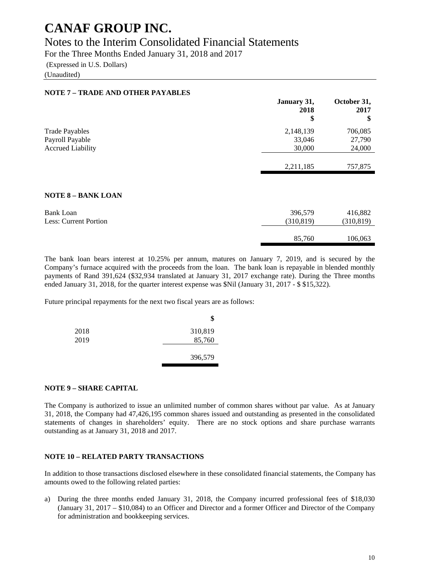### Notes to the Interim Consolidated Financial Statements

For the Three Months Ended January 31, 2018 and 2017

(Expressed in U.S. Dollars)

(Unaudited)

| <b>NOTE 7 - TRADE AND OTHER PAYABLES</b> |                           |                           |
|------------------------------------------|---------------------------|---------------------------|
|                                          | January 31,<br>2018<br>\$ | October 31,<br>2017<br>\$ |
| <b>Trade Payables</b>                    | 2,148,139                 | 706,085                   |
| Payroll Payable                          | 33,046                    | 27,790                    |
| <b>Accrued Liability</b>                 | 30,000                    | 24,000                    |
|                                          | 2,211,185                 | 757,875                   |
| <b>NOTE 8 - BANK LOAN</b>                |                           |                           |
| <b>Bank Loan</b>                         | 396,579                   | 416,882                   |
| <b>Less: Current Portion</b>             | (310, 819)                | (310, 819)                |
|                                          | 85,760                    | 106,063                   |

The bank loan bears interest at 10.25% per annum, matures on January 7, 2019, and is secured by the Company's furnace acquired with the proceeds from the loan. The bank loan is repayable in blended monthly payments of Rand 391,624 (\$32,934 translated at January 31, 2017 exchange rate). During the Three months ended January 31, 2018, for the quarter interest expense was \$Nil (January 31, 2017 - \$ \$15,322).

Future principal repayments for the next two fiscal years are as follows:

|      | \$      |
|------|---------|
| 2018 | 310,819 |
| 2019 | 85,760  |
|      | 396,579 |

#### **NOTE 9 – SHARE CAPITAL**

The Company is authorized to issue an unlimited number of common shares without par value. As at January 31, 2018, the Company had 47,426,195 common shares issued and outstanding as presented in the consolidated statements of changes in shareholders' equity. There are no stock options and share purchase warrants outstanding as at January 31, 2018 and 2017.

#### **NOTE 10 – RELATED PARTY TRANSACTIONS**

In addition to those transactions disclosed elsewhere in these consolidated financial statements, the Company has amounts owed to the following related parties:

a) During the three months ended January 31, 2018, the Company incurred professional fees of \$18,030 (January 31, 2017 – \$10,084) to an Officer and Director and a former Officer and Director of the Company for administration and bookkeeping services.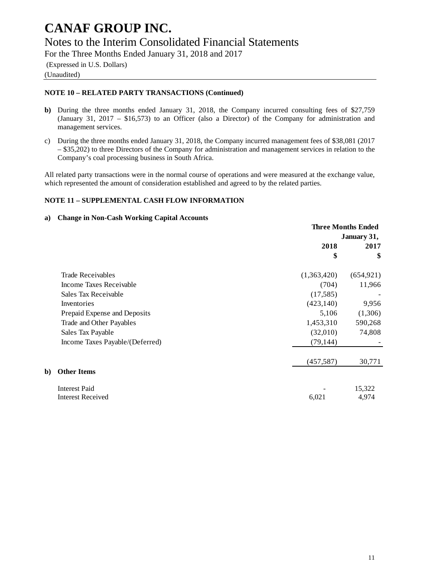### Notes to the Interim Consolidated Financial Statements

For the Three Months Ended January 31, 2018 and 2017

(Expressed in U.S. Dollars)

(Unaudited)

**b**)

#### **NOTE 10 – RELATED PARTY TRANSACTIONS (Continued)**

- **b)** During the three months ended January 31, 2018, the Company incurred consulting fees of \$27,759 (January 31, 2017 – \$16,573) to an Officer (also a Director) of the Company for administration and management services.
- c) During the three months ended January 31, 2018, the Company incurred management fees of \$38,081 (2017 – \$35,202) to three Directors of the Company for administration and management services in relation to the Company's coal processing business in South Africa.

All related party transactions were in the normal course of operations and were measured at the exchange value, which represented the amount of consideration established and agreed to by the related parties.

#### **NOTE 11 – SUPPLEMENTAL CASH FLOW INFORMATION**

#### **a) Change in Non-Cash Working Capital Accounts**

|                                 | <b>Three Months Ended</b> |            |  |
|---------------------------------|---------------------------|------------|--|
|                                 | January 31,               |            |  |
|                                 | 2018                      | 2017       |  |
|                                 | \$                        | \$         |  |
| Trade Receivables               | (1,363,420)               | (654, 921) |  |
| Income Taxes Receivable         | (704)                     | 11,966     |  |
| Sales Tax Receivable            | (17,585)                  |            |  |
| Inventories                     | (423, 140)                | 9,956      |  |
| Prepaid Expense and Deposits    | 5,106                     | (1,306)    |  |
| Trade and Other Payables        | 1,453,310                 | 590,268    |  |
| Sales Tax Payable               | (32,010)                  | 74,808     |  |
| Income Taxes Payable/(Deferred) | (79, 144)                 |            |  |
|                                 | (457, 587)                | 30,771     |  |
| <b>Other Items</b>              |                           |            |  |
| <b>Interest Paid</b>            |                           | 15,322     |  |
| <b>Interest Received</b>        | 6,021                     | 4,974      |  |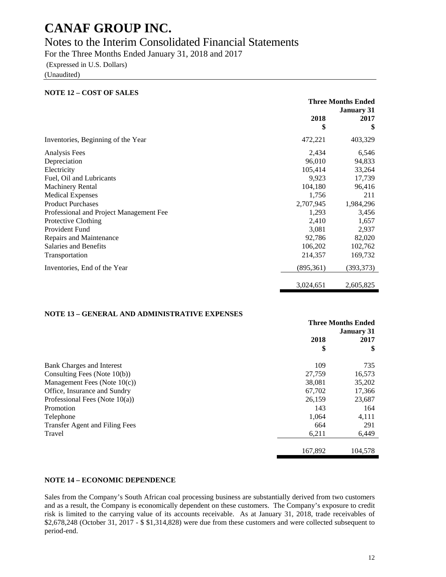### Notes to the Interim Consolidated Financial Statements

For the Three Months Ended January 31, 2018 and 2017

(Expressed in U.S. Dollars)

(Unaudited)

| <b>NOTE 12 - COST OF SALES</b>          |            |                           |
|-----------------------------------------|------------|---------------------------|
|                                         |            | <b>Three Months Ended</b> |
|                                         |            | <b>January 31</b>         |
|                                         | 2018       | 2017                      |
|                                         | \$         | \$                        |
| Inventories, Beginning of the Year      | 472,221    | 403,329                   |
| Analysis Fees                           | 2,434      | 6,546                     |
| Depreciation                            | 96,010     | 94,833                    |
| Electricity                             | 105,414    | 33,264                    |
| Fuel, Oil and Lubricants                | 9,923      | 17,739                    |
| <b>Machinery Rental</b>                 | 104,180    | 96,416                    |
| <b>Medical Expenses</b>                 | 1,756      | 211                       |
| <b>Product Purchases</b>                | 2,707,945  | 1,984,296                 |
| Professional and Project Management Fee | 1,293      | 3,456                     |
| Protective Clothing                     | 2,410      | 1,657                     |
| Provident Fund                          | 3,081      | 2,937                     |
| Repairs and Maintenance                 | 92,786     | 82,020                    |
| <b>Salaries and Benefits</b>            | 106,202    | 102,762                   |
| Transportation                          | 214,357    | 169,732                   |
| Inventories, End of the Year            | (895, 361) | (393, 373)                |
|                                         | 3,024,651  | 2,605,825                 |

#### **NOTE 13 – GENERAL AND ADMINISTRATIVE EXPENSES**

|                                       | <b>Three Months Ended</b> |         |  |
|---------------------------------------|---------------------------|---------|--|
|                                       | <b>January 31</b>         |         |  |
|                                       | 2018                      | 2017    |  |
|                                       | \$                        | \$      |  |
| Bank Charges and Interest             | 109                       | 735     |  |
| Consulting Fees (Note 10(b))          | 27,759                    | 16,573  |  |
| Management Fees (Note $10(c)$ )       | 38,081                    | 35,202  |  |
| Office, Insurance and Sundry          | 67,702                    | 17,366  |  |
| Professional Fees (Note $10(a)$ )     | 26,159                    | 23,687  |  |
| Promotion                             | 143                       | 164     |  |
| Telephone                             | 1,064                     | 4,111   |  |
| <b>Transfer Agent and Filing Fees</b> | 664                       | 291     |  |
| Travel                                | 6,211                     | 6,449   |  |
|                                       | 167,892                   | 104,578 |  |

#### **NOTE 14 – ECONOMIC DEPENDENCE**

Sales from the Company's South African coal processing business are substantially derived from two customers and as a result, the Company is economically dependent on these customers. The Company's exposure to credit risk is limited to the carrying value of its accounts receivable. As at January 31, 2018, trade receivables of \$2,678,248 (October 31, 2017 - \$ \$1,314,828) were due from these customers and were collected subsequent to period-end.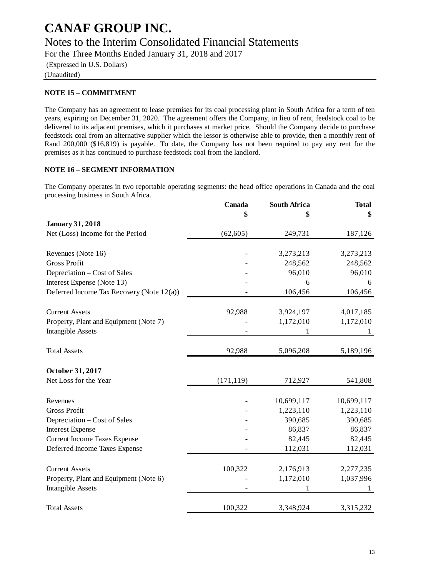### Notes to the Interim Consolidated Financial Statements

For the Three Months Ended January 31, 2018 and 2017

(Expressed in U.S. Dollars)

(Unaudited)

#### **NOTE 15 – COMMITMENT**

The Company has an agreement to lease premises for its coal processing plant in South Africa for a term of ten years, expiring on December 31, 2020. The agreement offers the Company, in lieu of rent, feedstock coal to be delivered to its adjacent premises, which it purchases at market price. Should the Company decide to purchase feedstock coal from an alternative supplier which the lessor is otherwise able to provide, then a monthly rent of Rand 200,000 (\$16,819) is payable. To date, the Company has not been required to pay any rent for the premises as it has continued to purchase feedstock coal from the landlord.

#### **NOTE 16 – SEGMENT INFORMATION**

The Company operates in two reportable operating segments: the head office operations in Canada and the coal processing business in South Africa.

|                                           | Canada     | South Africa | <b>Total</b> |
|-------------------------------------------|------------|--------------|--------------|
|                                           |            |              | \$           |
| <b>January 31, 2018</b>                   |            |              |              |
| Net (Loss) Income for the Period          | (62, 605)  | 249,731      | 187,126      |
| Revenues (Note 16)                        |            | 3,273,213    | 3,273,213    |
| <b>Gross Profit</b>                       |            | 248,562      | 248,562      |
| Depreciation – Cost of Sales              |            | 96,010       | 96,010       |
| Interest Expense (Note 13)                |            | 6            | 6            |
| Deferred Income Tax Recovery (Note 12(a)) |            | 106,456      | 106,456      |
| <b>Current Assets</b>                     | 92,988     | 3,924,197    | 4,017,185    |
| Property, Plant and Equipment (Note 7)    |            | 1,172,010    | 1,172,010    |
| <b>Intangible Assets</b>                  |            |              | 1            |
| <b>Total Assets</b>                       | 92,988     | 5,096,208    | 5,189,196    |
| October 31, 2017                          |            |              |              |
| Net Loss for the Year                     | (171, 119) | 712,927      | 541,808      |
| Revenues                                  |            | 10,699,117   | 10,699,117   |
| <b>Gross Profit</b>                       |            | 1,223,110    | 1,223,110    |
| Depreciation – Cost of Sales              |            | 390,685      | 390,685      |
| <b>Interest Expense</b>                   |            | 86,837       | 86,837       |
| <b>Current Income Taxes Expense</b>       |            | 82,445       | 82,445       |
| Deferred Income Taxes Expense             |            | 112,031      | 112,031      |
| <b>Current Assets</b>                     | 100,322    | 2,176,913    | 2,277,235    |
| Property, Plant and Equipment (Note 6)    |            | 1,172,010    | 1,037,996    |
| <b>Intangible Assets</b>                  |            |              |              |
| <b>Total Assets</b>                       | 100,322    | 3,348,924    | 3,315,232    |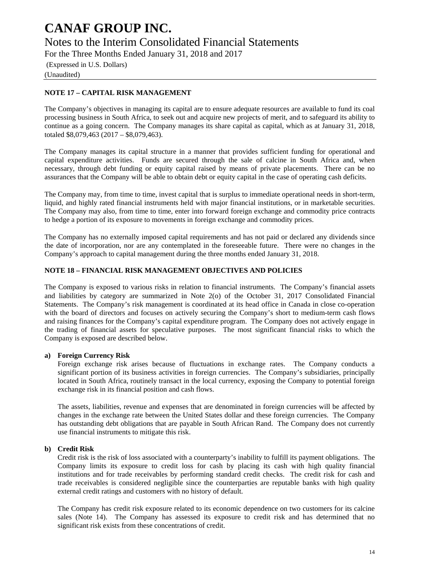### Notes to the Interim Consolidated Financial Statements

For the Three Months Ended January 31, 2018 and 2017

(Expressed in U.S. Dollars) (Unaudited)

#### **NOTE 17 – CAPITAL RISK MANAGEMENT**

The Company's objectives in managing its capital are to ensure adequate resources are available to fund its coal processing business in South Africa, to seek out and acquire new projects of merit, and to safeguard its ability to continue as a going concern. The Company manages its share capital as capital, which as at January 31, 2018, totaled \$8,079,463 (2017 – \$8,079,463).

The Company manages its capital structure in a manner that provides sufficient funding for operational and capital expenditure activities. Funds are secured through the sale of calcine in South Africa and, when necessary, through debt funding or equity capital raised by means of private placements. There can be no assurances that the Company will be able to obtain debt or equity capital in the case of operating cash deficits.

The Company may, from time to time, invest capital that is surplus to immediate operational needs in short-term, liquid, and highly rated financial instruments held with major financial institutions, or in marketable securities. The Company may also, from time to time, enter into forward foreign exchange and commodity price contracts to hedge a portion of its exposure to movements in foreign exchange and commodity prices.

The Company has no externally imposed capital requirements and has not paid or declared any dividends since the date of incorporation, nor are any contemplated in the foreseeable future. There were no changes in the Company's approach to capital management during the three months ended January 31, 2018.

#### **NOTE 18 – FINANCIAL RISK MANAGEMENT OBJECTIVES AND POLICIES**

The Company is exposed to various risks in relation to financial instruments. The Company's financial assets and liabilities by category are summarized in Note 2(o) of the October 31, 2017 Consolidated Financial Statements. The Company's risk management is coordinated at its head office in Canada in close co-operation with the board of directors and focuses on actively securing the Company's short to medium-term cash flows and raising finances for the Company's capital expenditure program. The Company does not actively engage in the trading of financial assets for speculative purposes. The most significant financial risks to which the Company is exposed are described below.

#### **a) Foreign Currency Risk**

Foreign exchange risk arises because of fluctuations in exchange rates. The Company conducts a significant portion of its business activities in foreign currencies. The Company's subsidiaries, principally located in South Africa, routinely transact in the local currency, exposing the Company to potential foreign exchange risk in its financial position and cash flows.

The assets, liabilities, revenue and expenses that are denominated in foreign currencies will be affected by changes in the exchange rate between the United States dollar and these foreign currencies. The Company has outstanding debt obligations that are payable in South African Rand. The Company does not currently use financial instruments to mitigate this risk.

#### **b) Credit Risk**

Credit risk is the risk of loss associated with a counterparty's inability to fulfill its payment obligations. The Company limits its exposure to credit loss for cash by placing its cash with high quality financial institutions and for trade receivables by performing standard credit checks. The credit risk for cash and trade receivables is considered negligible since the counterparties are reputable banks with high quality external credit ratings and customers with no history of default.

The Company has credit risk exposure related to its economic dependence on two customers for its calcine sales (Note 14). The Company has assessed its exposure to credit risk and has determined that no significant risk exists from these concentrations of credit.